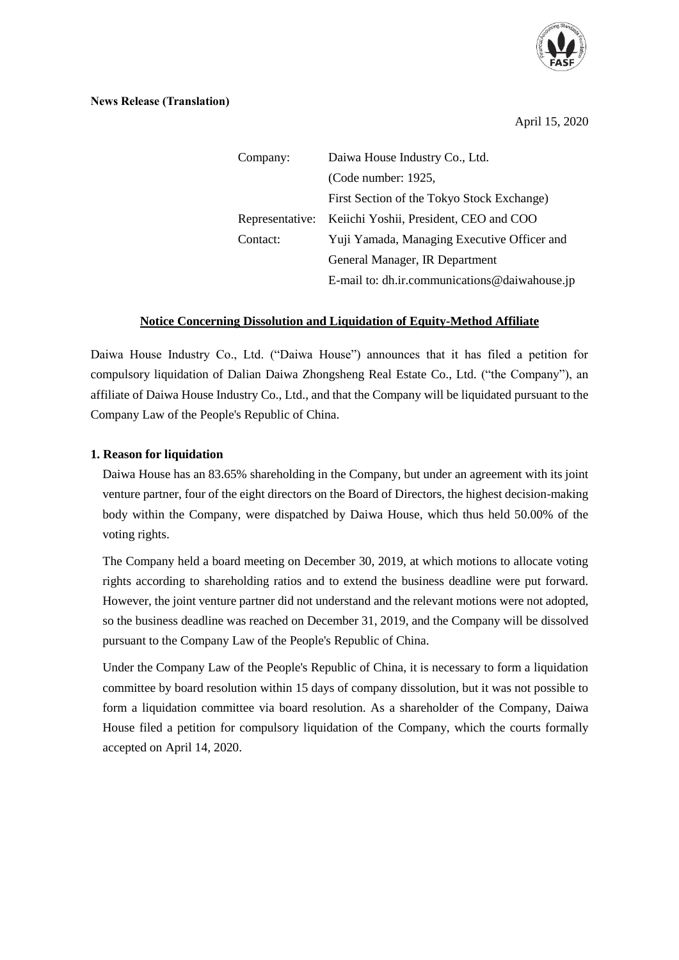

#### **News Release (Translation)**

April 15, 2020

| Company: | Daiwa House Industry Co., Ltd.                         |  |  |  |
|----------|--------------------------------------------------------|--|--|--|
|          | (Code number: 1925,                                    |  |  |  |
|          | First Section of the Tokyo Stock Exchange)             |  |  |  |
|          | Representative: Keiichi Yoshii, President, CEO and COO |  |  |  |
| Contact: | Yuji Yamada, Managing Executive Officer and            |  |  |  |
|          | General Manager, IR Department                         |  |  |  |
|          | E-mail to: dh.ir.communications@daiwahouse.jp          |  |  |  |

# **Notice Concerning Dissolution and Liquidation of Equity-Method Affiliate**

Daiwa House Industry Co., Ltd. ("Daiwa House") announces that it has filed a petition for compulsory liquidation of Dalian Daiwa Zhongsheng Real Estate Co., Ltd. ("the Company"), an affiliate of Daiwa House Industry Co., Ltd., and that the Company will be liquidated pursuant to the Company Law of the People's Republic of China.

## **1. Reason for liquidation**

Daiwa House has an 83.65% shareholding in the Company, but under an agreement with its joint venture partner, four of the eight directors on the Board of Directors, the highest decision-making body within the Company, were dispatched by Daiwa House, which thus held 50.00% of the voting rights.

The Company held a board meeting on December 30, 2019, at which motions to allocate voting rights according to shareholding ratios and to extend the business deadline were put forward. However, the joint venture partner did not understand and the relevant motions were not adopted, so the business deadline was reached on December 31, 2019, and the Company will be dissolved pursuant to the Company Law of the People's Republic of China.

Under the Company Law of the People's Republic of China, it is necessary to form a liquidation committee by board resolution within 15 days of company dissolution, but it was not possible to form a liquidation committee via board resolution. As a shareholder of the Company, Daiwa House filed a petition for compulsory liquidation of the Company, which the courts formally accepted on April 14, 2020.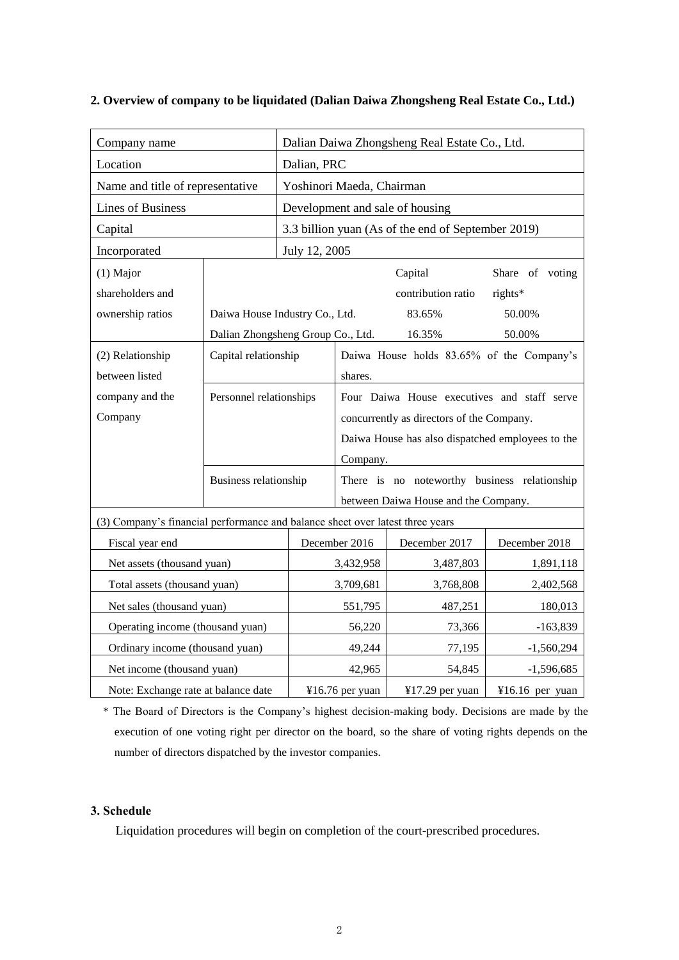| Company name                                                                  |                                                       | Dalian Daiwa Zhongsheng Real Estate Co., Ltd.      |                                                  |                                           |                 |  |
|-------------------------------------------------------------------------------|-------------------------------------------------------|----------------------------------------------------|--------------------------------------------------|-------------------------------------------|-----------------|--|
| Location                                                                      |                                                       | Dalian, PRC                                        |                                                  |                                           |                 |  |
| Name and title of representative                                              |                                                       | Yoshinori Maeda, Chairman                          |                                                  |                                           |                 |  |
| <b>Lines of Business</b>                                                      |                                                       | Development and sale of housing                    |                                                  |                                           |                 |  |
| Capital                                                                       |                                                       | 3.3 billion yuan (As of the end of September 2019) |                                                  |                                           |                 |  |
| Incorporated                                                                  |                                                       | July 12, 2005                                      |                                                  |                                           |                 |  |
| $(1)$ Major                                                                   |                                                       |                                                    |                                                  | Capital                                   | Share of voting |  |
| shareholders and                                                              |                                                       |                                                    |                                                  | contribution ratio                        | rights*         |  |
| ownership ratios                                                              | Daiwa House Industry Co., Ltd.<br>50.00%<br>83.65%    |                                                    |                                                  |                                           |                 |  |
|                                                                               | Dalian Zhongsheng Group Co., Ltd.<br>16.35%<br>50.00% |                                                    |                                                  |                                           |                 |  |
| (2) Relationship                                                              | Capital relationship                                  |                                                    |                                                  | Daiwa House holds 83.65% of the Company's |                 |  |
| between listed                                                                |                                                       |                                                    | shares.                                          |                                           |                 |  |
| company and the                                                               | Personnel relationships                               |                                                    | Four Daiwa House executives and staff serve      |                                           |                 |  |
| Company                                                                       |                                                       |                                                    | concurrently as directors of the Company.        |                                           |                 |  |
|                                                                               |                                                       |                                                    | Daiwa House has also dispatched employees to the |                                           |                 |  |
|                                                                               |                                                       |                                                    | Company.                                         |                                           |                 |  |
|                                                                               | Business relationship                                 |                                                    | There is no noteworthy business relationship     |                                           |                 |  |
|                                                                               |                                                       |                                                    | between Daiwa House and the Company.             |                                           |                 |  |
| (3) Company's financial performance and balance sheet over latest three years |                                                       |                                                    |                                                  |                                           |                 |  |
| Fiscal year end                                                               |                                                       |                                                    | December 2016                                    | December 2017                             | December 2018   |  |
| Net assets (thousand yuan)                                                    |                                                       |                                                    | 3,432,958                                        | 3,487,803                                 | 1,891,118       |  |
| Total assets (thousand yuan)                                                  |                                                       |                                                    | 3,709,681                                        | 3,768,808                                 | 2,402,568       |  |
| Net sales (thousand yuan)                                                     |                                                       |                                                    | 551,795                                          | 487,251                                   | 180,013         |  |
| Operating income (thousand yuan)                                              |                                                       |                                                    | 56,220                                           | 73,366                                    | $-163,839$      |  |
| Ordinary income (thousand yuan)                                               |                                                       |                                                    | 49,244                                           | 77,195                                    | $-1,560,294$    |  |
| Net income (thousand yuan)                                                    |                                                       |                                                    | 42,965                                           | 54,845                                    | $-1,596,685$    |  |
| Note: Exchange rate at balance date                                           |                                                       |                                                    | ¥16.76 per yuan                                  | ¥17.29 per yuan                           | ¥16.16 per yuan |  |

## **2. Overview of company to be liquidated (Dalian Daiwa Zhongsheng Real Estate Co., Ltd.)**

\* The Board of Directors is the Company's highest decision-making body. Decisions are made by the execution of one voting right per director on the board, so the share of voting rights depends on the number of directors dispatched by the investor companies.

# **3. Schedule**

Liquidation procedures will begin on completion of the court-prescribed procedures.